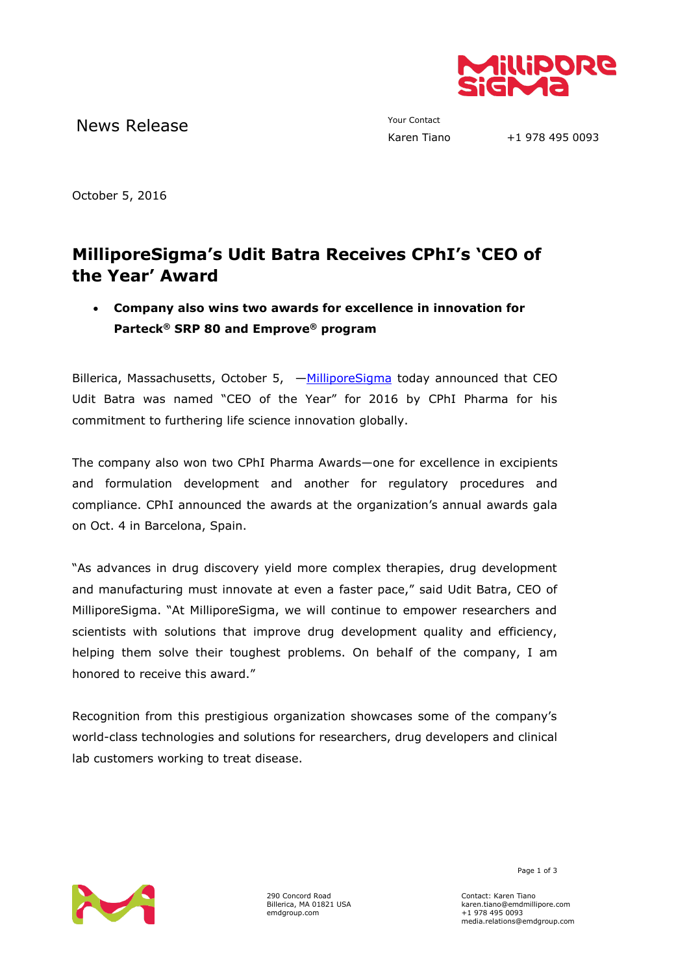

News Release The Contact Your Contact Tiano

+1 978 495 0093

October 5, 2016

## **MilliporeSigma's Udit Batra Receives CPhI's 'CEO of the Year' Award**

 **Company also wins two awards for excellence in innovation for Parteck® SRP 80 and Emprove® program** 

Billerica, Massachusetts, October 5,  $-\frac{MilliporeSigma}{$  $-\frac{MilliporeSigma}{$  $-\frac{MilliporeSigma}{$ Udit Batra was named "CEO of the Year" for 2016 by CPhI Pharma for his commitment to furthering life science innovation globally.

The company also won two CPhI Pharma Awards—one for excellence in excipients and formulation development and another for regulatory procedures and compliance. CPhI announced the awards at the organization's annual awards gala on Oct. 4 in Barcelona, Spain.

"As advances in drug discovery yield more complex therapies, drug development and manufacturing must innovate at even a faster pace," said Udit Batra, CEO of MilliporeSigma. "At MilliporeSigma, we will continue to empower researchers and scientists with solutions that improve drug development quality and efficiency, helping them solve their toughest problems. On behalf of the company, I am honored to receive this award."

Recognition from this prestigious organization showcases some of the company's world-class technologies and solutions for researchers, drug developers and clinical lab customers working to treat disease.



290 Concord Road Billerica, MA 01821 USA emdgroup.com

Page 1 of 3

Contact: Karen Tiano karen.tiano@emdmillipore.com +1 978 495 0093 media.relations@emdgroup.com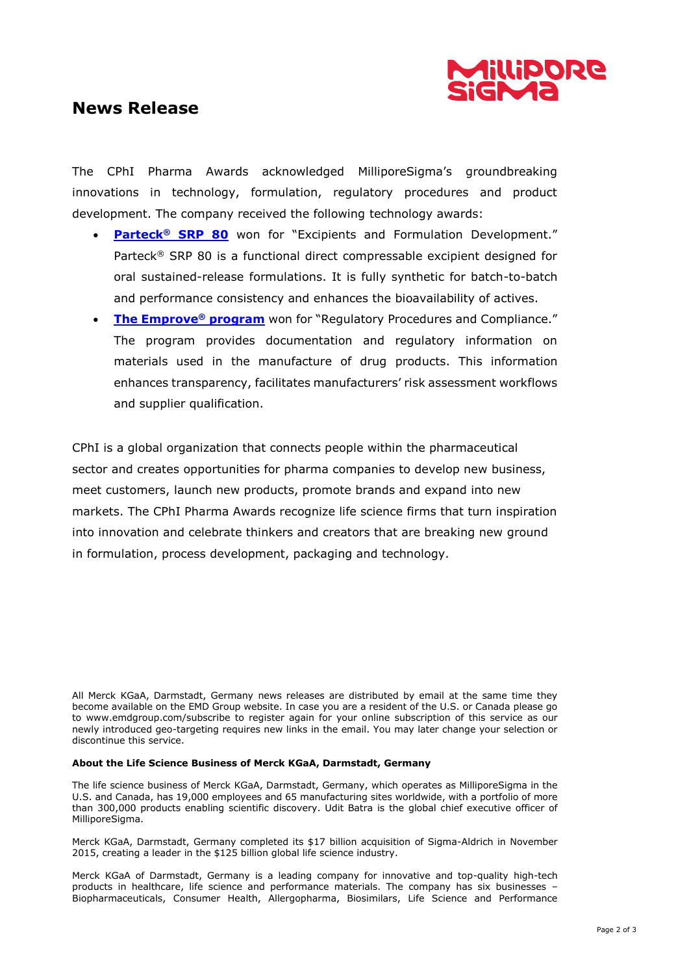

## **News Release**

The CPhI Pharma Awards acknowledged MilliporeSigma's groundbreaking innovations in technology, formulation, regulatory procedures and product development. The company received the following technology awards:

- **Parteck<sup>®</sup> [SRP 80](http://www.emdmillipore.com/US/en/products/small-molecule-pharmaceuticals/formulation/solid-dosage-form/parteck-excipients/parteck-srp-80/5Sab.qB.ZecAAAFQp6V2h03D,nav?ReferrerURL=http%3A%2F%2Fwww.bing.com%2Fsearch%3Fq%3Dmerck%2Bmillipore%2Bparteck%2Bsrp%2B80%26src%3DIE-TopResult%26FORM%3DIETR02%26conversationid%3D)** won for "Excipients and Formulation Development." Parteck® SRP 80 is a functional direct compressable excipient designed for oral sustained-release formulations. It is fully synthetic for batch-to-batch and performance consistency and enhances the bioavailability of actives.
- **[The Emprove](http://www.emdmillipore.com/US/en/support/regulatory-support/emprove-program/9qmb.qB.T_gAAAFDRclUTz7y,nav?ReferrerURL=http%3A%2F%2Fwww.bing.com%2Fsearch%3Fq%3Dmerck%2Bmillipore%2BEMPROVE%26src%3DIE-TopResult%26FORM%3DIETR02%26conversationid%3D)® program** won for "Regulatory Procedures and Compliance." The program provides documentation and regulatory information on materials used in the manufacture of drug products. This information enhances transparency, facilitates manufacturers' risk assessment workflows and supplier qualification.

CPhI is a global organization that connects people within the pharmaceutical sector and creates opportunities for pharma companies to develop new business, meet customers, launch new products, promote brands and expand into new markets. The CPhI Pharma Awards recognize life science firms that turn inspiration into innovation and celebrate thinkers and creators that are breaking new ground in formulation, process development, packaging and technology.

All Merck KGaA, Darmstadt, Germany news releases are distributed by email at the same time they become available on the EMD Group website. In case you are a resident of the U.S. or Canada please go to www.emdgroup.com/subscribe to register again for your online subscription of this service as our newly introduced geo-targeting requires new links in the email. You may later change your selection or discontinue this service.

## **About the Life Science Business of Merck KGaA, Darmstadt, Germany**

The life science business of Merck KGaA, Darmstadt, Germany, which operates as MilliporeSigma in the U.S. and Canada, has 19,000 employees and 65 manufacturing sites worldwide, with a portfolio of more than 300,000 products enabling scientific discovery. Udit Batra is the global chief executive officer of MilliporeSigma.

Merck KGaA, Darmstadt, Germany completed its \$17 billion acquisition of Sigma-Aldrich in November 2015, creating a leader in the \$125 billion global life science industry.

Merck KGaA of Darmstadt, Germany is a leading company for innovative and top-quality high-tech products in healthcare, life science and performance materials. The company has six businesses – Biopharmaceuticals, Consumer Health, Allergopharma, Biosimilars, Life Science and Performance